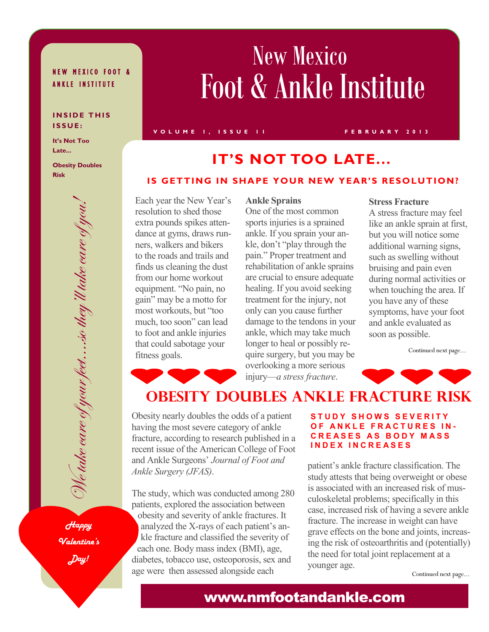#### NEW MEXICO FOOT & **ANKLE INSTITUTE**

#### **INSIDE THIS I S S U E :**

**It's Not Too Late...**

**Obesity Doubles Risk**

# New Mexico Foot & Ankle Institute

#### **V O L U M E 1 , I S S U E 1 1 F E B R U A R Y 2 0 1 3**

### **IT'S NOT TOO LATE...**

#### **IS GETTING IN SHAPE YOUR NEW YEAR'S RESOLUTION?**

We take care of your feet….so they'll take care of you! te take care of your feet....so they'll take care of you.

*Happy Valentine's*

*Day!*

Each year the New Year's resolution to shed those extra pounds spikes attendance at gyms, draws runners, walkers and bikers to the roads and trails and finds us cleaning the dust from our home workout equipment. "No pain, no gain" may be a motto for most workouts, but "too much, too soon" can lead to foot and ankle injuries that could sabotage your fitness goals.

#### **Ankle Sprains**

One of the most common sports injuries is a sprained ankle. If you sprain your ankle, don't "play through the pain." Proper treatment and rehabilitation of ankle sprains are crucial to ensure adequate healing. If you avoid seeking treatment for the injury, not only can you cause further damage to the tendons in your ankle, which may take much longer to heal or possibly require surgery, but you may be overlooking a more serious injury—*a stress fracture*.

#### **Stress Fracture**

A stress fracture may feel like an ankle sprain at first, but you will notice some additional warning signs, such as swelling without bruising and pain even during normal activities or when touching the area. If you have any of these symptoms, have your foot and ankle evaluated as soon as possible.

Continued next page...

### **Obesity doubles ankle fracture risk**

Obesity nearly doubles the odds of a patient having the most severe category of ankle fracture, according to research published in a recent issue of the American College of Foot and Ankle Surgeons' *Journal of Foot and Ankle Surgery (JFAS)*.

The study, which was conducted among 280 patients, explored the association between obesity and severity of ankle fractures. It analyzed the X-rays of each patient's ankle fracture and classified the severity of each one. Body mass index (BMI), age, diabetes, tobacco use, osteoporosis, sex and age were then assessed alongside each

#### **S T U D Y S H O W S S E V E R I T Y OF ANKLE FRACTURES IN-C R E A S E S A S B O D Y M A S S I N D E X I N C R E A S E S**

patient's ankle fracture classification. The study attests that being overweight or obese is associated with an increased risk of musculoskeletal problems; specifically in this case, increased risk of having a severe ankle fracture. The increase in weight can have grave effects on the bone and joints, increasing the risk of osteoarthritis and (potentially) the need for total joint replacement at a younger age.

Continued next page...

### www.nmfootandankle.com